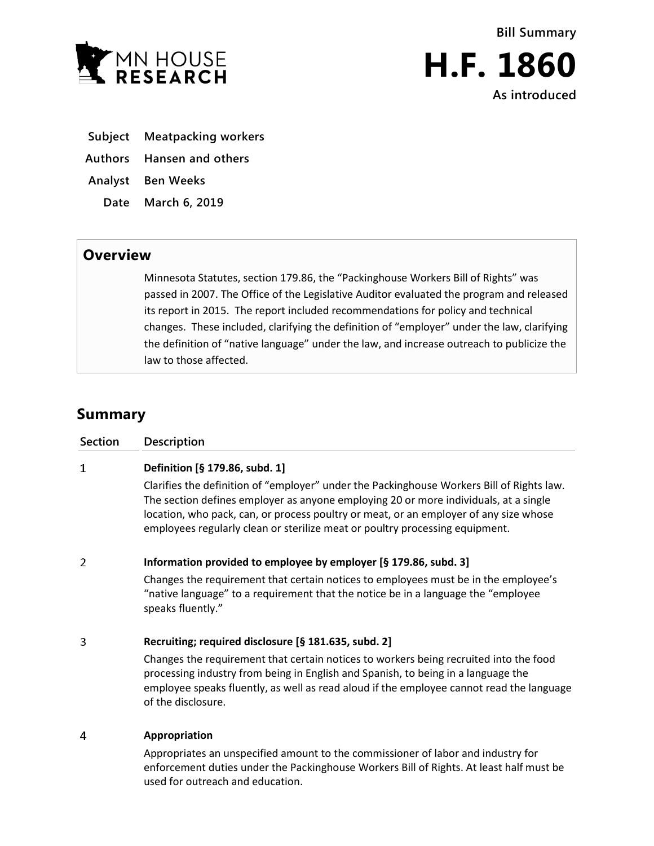



**Subject Meatpacking workers**

**Authors Hansen and others**

**Analyst Ben Weeks**

**Date March 6, 2019**

## **Overview**

Minnesota Statutes, section 179.86, the "Packinghouse Workers Bill of Rights" was passed in 2007. The Office of the Legislative Auditor evaluated the program and released its report in 2015. The report included recommendations for policy and technical changes. These included, clarifying the definition of "employer" under the law, clarifying the definition of "native language" under the law, and increase outreach to publicize the law to those affected.

## **Summary**

| Section | Description                                                                                                                                                                                                                                                                                                                                                                                  |
|---------|----------------------------------------------------------------------------------------------------------------------------------------------------------------------------------------------------------------------------------------------------------------------------------------------------------------------------------------------------------------------------------------------|
| 1       | Definition [§ 179.86, subd. 1]<br>Clarifies the definition of "employer" under the Packinghouse Workers Bill of Rights law.<br>The section defines employer as anyone employing 20 or more individuals, at a single<br>location, who pack, can, or process poultry or meat, or an employer of any size whose<br>employees regularly clean or sterilize meat or poultry processing equipment. |
| 2       | Information provided to employee by employer [§ 179.86, subd. 3]<br>Changes the requirement that certain notices to employees must be in the employee's<br>"native language" to a requirement that the notice be in a language the "employee<br>speaks fluently."                                                                                                                            |
| 3       | Recruiting; required disclosure [§ 181.635, subd. 2]<br>Changes the requirement that certain notices to workers being recruited into the food<br>processing industry from being in English and Spanish, to being in a language the<br>employee speaks fluently, as well as read aloud if the employee cannot read the language<br>of the disclosure.                                         |
| 4       | Appropriation<br>Appropriates an unspecified amount to the commissioner of labor and industry for                                                                                                                                                                                                                                                                                            |

enforcement duties under the Packinghouse Workers Bill of Rights. At least half must be used for outreach and education.